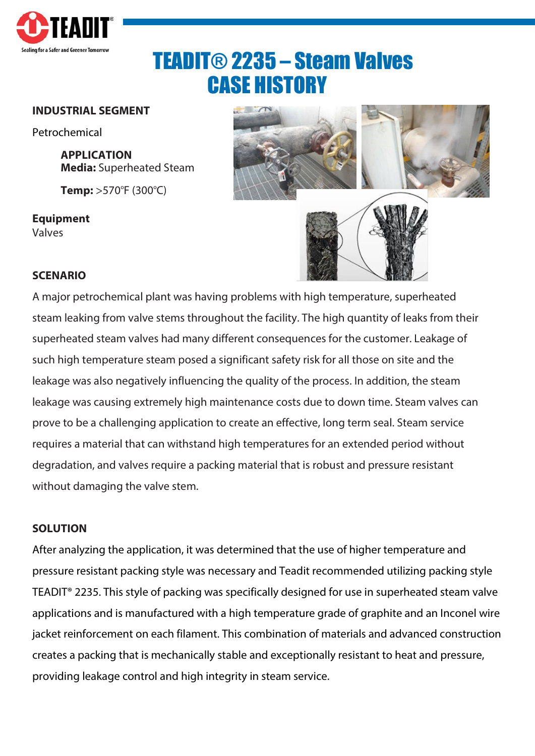

# TEADIT® 2235 – Steam Valves CASE HISTORY

#### **INDUSTRIAL SEGMENT**

Petrochemical

**APPLICATION Media:** Superheated Steam

**Temp:** >570°F (300°C)

**Equipment** Valves



## **SCENARIO**

A major petrochemical plant was having problems with high temperature, superheated steam leaking from valve stems throughout the facility. The high quantity of leaks from their superheated steam valves had many different consequences for the customer. Leakage of such high temperature steam posed a significant safety risk for all those on site and the leakage was also negatively influencing the quality of the process. In addition, the steam leakage was causing extremely high maintenance costs due to down time. Steam valves can prove to be a challenging application to create an effective, long term seal. Steam service requires a material that can withstand high temperatures for an extended period without degradation, and valves require a packing material that is robust and pressure resistant without damaging the valve stem.

#### **SOLUTION**

After analyzing the application, it was determined that the use of higher temperature and pressure resistant packing style was necessary and Teadit recommended utilizing packing style TEADIT® 2235. This style of packing was specifically designed for use in superheated steam valve applications and is manufactured with a high temperature grade of graphite and an Inconel wire jacket reinforcement on each filament. This combination of materials and advanced construction creates a packing that is mechanically stable and exceptionally resistant to heat and pressure, providing leakage control and high integrity in steam service.